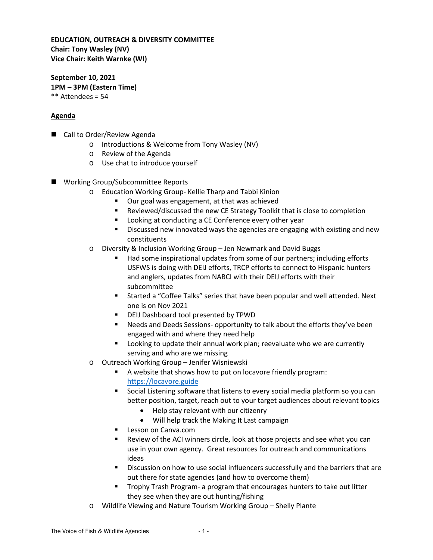## **EDUCATION, OUTREACH & DIVERSITY COMMITTEE Chair: Tony Wasley (NV) Vice Chair: Keith Warnke (WI)**

**September 10, 2021 1PM – 3PM (Eastern Time)** \*\* Attendees = 54

## **Agenda**

- Call to Order/Review Agenda
	- o Introductions & Welcome from Tony Wasley (NV)
	- o Review of the Agenda
	- o Use chat to introduce yourself
- Working Group/Subcommittee Reports
	- o Education Working Group- Kellie Tharp and Tabbi Kinion
		- Our goal was engagement, at that was achieved
		- Reviewed/discussed the new CE Strategy Toolkit that is close to completion
		- **Looking at conducting a CE Conference every other year**
		- Discussed new innovated ways the agencies are engaging with existing and new constituents
	- o Diversity & Inclusion Working Group Jen Newmark and David Buggs
		- Had some inspirational updates from some of our partners; including efforts USFWS is doing with DEIJ efforts, TRCP efforts to connect to Hispanic hunters and anglers, updates from NABCI with their DEIJ efforts with their subcommittee
		- Started a "Coffee Talks" series that have been popular and well attended. Next one is on Nov 2021
		- **DEIJ Dashboard tool presented by TPWD**
		- Needs and Deeds Sessions- opportunity to talk about the efforts they've been engaged with and where they need help
		- Looking to update their annual work plan; reevaluate who we are currently serving and who are we missing
	- o Outreach Working Group Jenifer Wisniewski
		- A website that shows how to put on locavore friendly program: [https://locavore.guide](https://locavore.guide/)
		- **Social Listening software that listens to every social media platform so you can** better position, target, reach out to your target audiences about relevant topics
			- Help stay relevant with our citizenry
			- Will help track the Making It Last campaign
		- Lesson on Canva.com
		- Review of the ACI winners circle, look at those projects and see what you can use in your own agency. Great resources for outreach and communications ideas
		- Discussion on how to use social influencers successfully and the barriers that are out there for state agencies (and how to overcome them)
		- Trophy Trash Program- a program that encourages hunters to take out litter they see when they are out hunting/fishing
	- o Wildlife Viewing and Nature Tourism Working Group Shelly Plante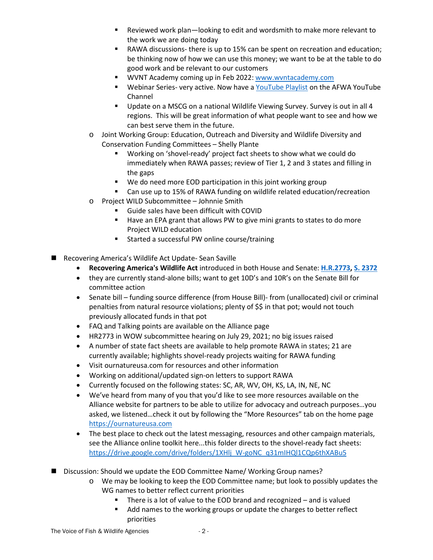- Reviewed work plan—looking to edit and wordsmith to make more relevant to the work we are doing today
- RAWA discussions- there is up to 15% can be spent on recreation and education; be thinking now of how we can use this money; we want to be at the table to do good work and be relevant to our customers
- WVNT Academy coming up in Feb 2022[: www.wvntacademy.com](http://www.wvntacademy.com/)
- Webinar Series- very active. Now have a [YouTube Playlist](https://www.youtube.com/playlist?app=desktop&list=PLGgiMnErkUG6WSgwnXx21-F0F7dChN9hu) on the AFWA YouTube Channel
- Update on a MSCG on a national Wildlife Viewing Survey. Survey is out in all 4 regions. This will be great information of what people want to see and how we can best serve them in the future.
- o Joint Working Group: Education, Outreach and Diversity and Wildlife Diversity and Conservation Funding Committees – Shelly Plante
	- Working on 'shovel-ready' project fact sheets to show what we could do immediately when RAWA passes; review of Tier 1, 2 and 3 states and filling in the gaps
	- We do need more EOD participation in this joint working group
	- Can use up to 15% of RAWA funding on wildlife related education/recreation
- o Project WILD Subcommittee Johnnie Smith
	- Guide sales have been difficult with COVID
	- Have an EPA grant that allows PW to give mini grants to states to do more Project WILD education
	- **EXECUTE:** Started a successful PW online course/training
- Recovering America's Wildlife Act Update- Sean Saville
	- **Recovering America's Wildlife Act** introduced in both House and Senate: **[H.R.2773,](https://www.congress.gov/bill/117th-congress/house-bill/2773) [S. 2372](https://www.congress.gov/bill/117th-congress/senate-bill/2372)**
	- they are currently stand-alone bills; want to get 10D's and 10R's on the Senate Bill for committee action
	- Senate bill funding source difference (from House Bill)- from (unallocated) civil or criminal penalties from natural resource violations; plenty of \$\$ in that pot; would not touch previously allocated funds in that pot
	- FAQ and Talking points are available on the Alliance page
	- HR2773 in WOW subcommittee hearing on July 29, 2021; no big issues raised
	- A number of state fact sheets are available to help promote RAWA in states; 21 are currently available; highlights shovel-ready projects waiting for RAWA funding
	- Visit ournatureusa.com for resources and other information
	- Working on additional/updated sign-on letters to support RAWA
	- Currently focused on the following states: SC, AR, WV, OH, KS, LA, IN, NE, NC
	- We've heard from many of you that you'd like to see more resources available on the Alliance website for partners to be able to utilize for advocacy and outreach purposes…you asked, we listened…check it out by following the "More Resources" tab on the home page [https://ournatureusa.com](https://ournatureusa.com/)
	- The best place to check out the latest messaging, resources and other campaign materials, see the Alliance online toolkit here...this folder directs to the shovel-ready fact sheets: [https://drive.google.com/drive/folders/1XHlj\\_W-goNC\\_q31mIHQl1CQp6thXABu5](https://drive.google.com/drive/folders/1XHlj_W-goNC_q31mIHQl1CQp6thXABu5)
- Discussion: Should we update the EOD Committee Name/ Working Group names?
	- o We may be looking to keep the EOD Committee name; but look to possibly updates the WG names to better reflect current priorities
		- There is a lot of value to the EOD brand and recognized and is valued
		- Add names to the working groups or update the charges to better reflect priorities